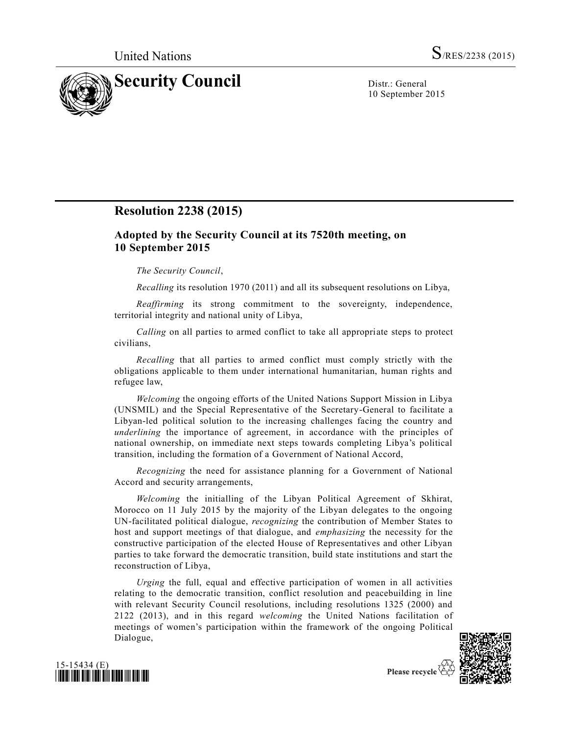

10 September 2015

# **Resolution 2238 (2015)**

# **Adopted by the Security Council at its 7520th meeting, on 10 September 2015**

### *The Security Council*,

*Recalling* its resolution 1970 (2011) and all its subsequent resolutions on Libya,

*Reaffirming* its strong commitment to the sovereignty, independence, territorial integrity and national unity of Libya,

*Calling* on all parties to armed conflict to take all appropriate steps to protect civilians,

*Recalling* that all parties to armed conflict must comply strictly with the obligations applicable to them under international humanitarian, human rights and refugee law,

*Welcoming* the ongoing efforts of the United Nations Support Mission in Libya (UNSMIL) and the Special Representative of the Secretary-General to facilitate a Libyan-led political solution to the increasing challenges facing the country and *underlining* the importance of agreement, in accordance with the principles of national ownership, on immediate next steps towards completing Libya's political transition, including the formation of a Government of National Accord,

*Recognizing* the need for assistance planning for a Government of National Accord and security arrangements,

*Welcoming* the initialling of the Libyan Political Agreement of Skhirat, Morocco on 11 July 2015 by the majority of the Libyan delegates to the ongoing UN-facilitated political dialogue, *recognizing* the contribution of Member States to host and support meetings of that dialogue, and *emphasizing* the necessity for the constructive participation of the elected House of Representatives and other Libyan parties to take forward the democratic transition, build state institutions and start the reconstruction of Libya,

*Urging* the full, equal and effective participation of women in all activities relating to the democratic transition, conflict resolution and peacebuilding in line with relevant Security Council resolutions, including resolutions 1325 (2000) and 2122 (2013), and in this regard *welcoming* the United Nations facilitation of meetings of women's participation within the framework of the ongoing Political Dialogue,





Please recycle  $\mathfrak E$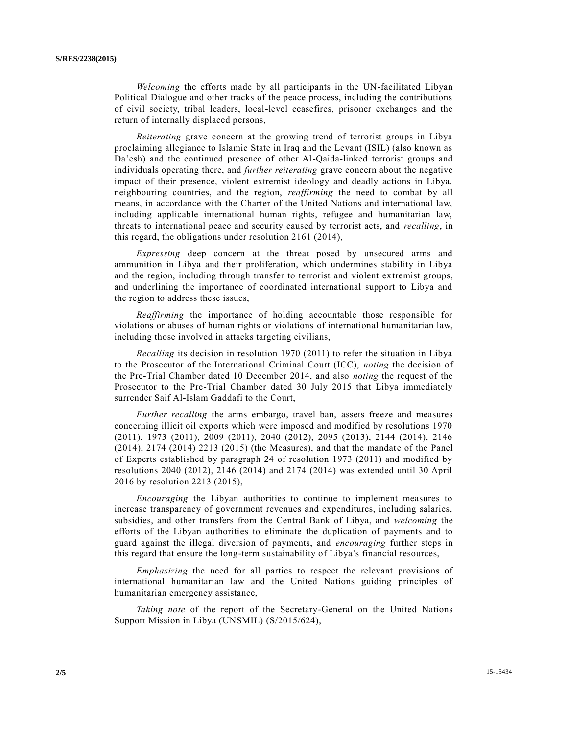*Welcoming* the efforts made by all participants in the UN-facilitated Libyan Political Dialogue and other tracks of the peace process, including the contributions of civil society, tribal leaders, local-level ceasefires, prisoner exchanges and the return of internally displaced persons,

*Reiterating* grave concern at the growing trend of terrorist groups in Libya proclaiming allegiance to Islamic State in Iraq and the Levant (ISIL) (also known as Da'esh) and the continued presence of other Al-Qaida-linked terrorist groups and individuals operating there, and *further reiterating* grave concern about the negative impact of their presence, violent extremist ideology and deadly actions in Libya, neighbouring countries, and the region, *reaffirming* the need to combat by all means, in accordance with the Charter of the United Nations and international law, including applicable international human rights, refugee and humanitarian law, threats to international peace and security caused by terrorist acts, and *recalling*, in this regard, the obligations under resolution 2161 (2014),

*Expressing* deep concern at the threat posed by unsecured arms and ammunition in Libya and their proliferation, which undermines stability in Libya and the region, including through transfer to terrorist and violent extremist groups, and underlining the importance of coordinated international support to Libya and the region to address these issues,

*Reaffirming* the importance of holding accountable those responsible for violations or abuses of human rights or violations of international humanitarian law, including those involved in attacks targeting civilians,

*Recalling* its decision in resolution 1970 (2011) to refer the situation in Libya to the Prosecutor of the International Criminal Court (ICC), *noting* the decision of the Pre-Trial Chamber dated 10 December 2014, and also *noting* the request of the Prosecutor to the Pre-Trial Chamber dated 30 July 2015 that Libya immediately surrender Saif Al-Islam Gaddafi to the Court,

*Further recalling* the arms embargo, travel ban, assets freeze and measures concerning illicit oil exports which were imposed and modified by resolutions 1970 (2011), 1973 (2011), 2009 (2011), 2040 (2012), 2095 (2013), 2144 (2014), 2146 (2014), 2174 (2014) 2213 (2015) (the Measures), and that the mandate of the Panel of Experts established by paragraph 24 of resolution 1973 (2011) and modified by resolutions 2040 (2012), 2146 (2014) and 2174 (2014) was extended until 30 April 2016 by resolution 2213 (2015),

*Encouraging* the Libyan authorities to continue to implement measures to increase transparency of government revenues and expenditures, including salaries, subsidies, and other transfers from the Central Bank of Libya, and *welcoming* the efforts of the Libyan authorities to eliminate the duplication of payments and to guard against the illegal diversion of payments, and *encouraging* further steps in this regard that ensure the long-term sustainability of Libya's financial resources,

*Emphasizing* the need for all parties to respect the relevant provisions of international humanitarian law and the United Nations guiding principles of humanitarian emergency assistance,

*Taking note* of the report of the Secretary-General on the United Nations Support Mission in Libya (UNSMIL) [\(S/2015/624\)](http://undocs.org/S/2015/624),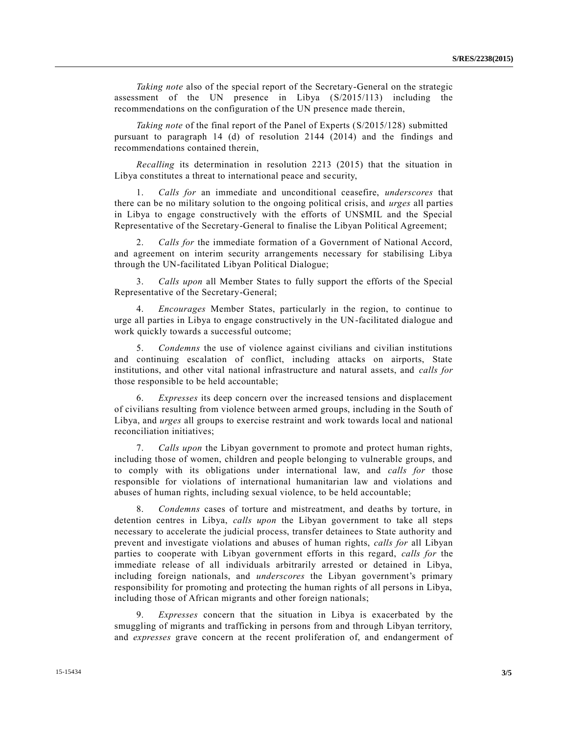*Taking note* also of the special report of the Secretary-General on the strategic assessment of the UN presence in Libya [\(S/2015/113\)](http://undocs.org/S/2015/113) including the recommendations on the configuration of the UN presence made therein,

*Taking note* of the final report of the Panel of Experts [\(S/2015/128\)](http://undocs.org/S/2015/128) submitted pursuant to paragraph 14 (d) of resolution 2144 (2014) and the findings and recommendations contained therein,

*Recalling* its determination in resolution 2213 (2015) that the situation in Libya constitutes a threat to international peace and security,

1. *Calls for* an immediate and unconditional ceasefire, *underscores* that there can be no military solution to the ongoing political crisis, and *urges* all parties in Libya to engage constructively with the efforts of UNSMIL and the Special Representative of the Secretary-General to finalise the Libyan Political Agreement;

2. *Calls for* the immediate formation of a Government of National Accord, and agreement on interim security arrangements necessary for stabilising Libya through the UN-facilitated Libyan Political Dialogue;

3. *Calls upon* all Member States to fully support the efforts of the Special Representative of the Secretary-General;

4. *Encourages* Member States, particularly in the region, to continue to urge all parties in Libya to engage constructively in the UN-facilitated dialogue and work quickly towards a successful outcome;

5. *Condemns* the use of violence against civilians and civilian institutions and continuing escalation of conflict, including attacks on airports, State institutions, and other vital national infrastructure and natural assets, and *calls for* those responsible to be held accountable;

6. *Expresses* its deep concern over the increased tensions and displacement of civilians resulting from violence between armed groups, including in the South of Libya, and *urges* all groups to exercise restraint and work towards local and national reconciliation initiatives;

7. *Calls upon* the Libyan government to promote and protect human rights, including those of women, children and people belonging to vulnerable groups, and to comply with its obligations under international law, and *calls for* those responsible for violations of international humanitarian law and violations and abuses of human rights, including sexual violence, to be held accountable;

8. *Condemns* cases of torture and mistreatment, and deaths by torture, in detention centres in Libya, *calls upon* the Libyan government to take all steps necessary to accelerate the judicial process, transfer detainees to State authority and prevent and investigate violations and abuses of human rights, *calls for* all Libyan parties to cooperate with Libyan government efforts in this regard, *calls for* the immediate release of all individuals arbitrarily arrested or detained in Libya, including foreign nationals, and *underscores* the Libyan government's primary responsibility for promoting and protecting the human rights of all persons in Libya, including those of African migrants and other foreign nationals;

9. *Expresses* concern that the situation in Libya is exacerbated by the smuggling of migrants and trafficking in persons from and through Libyan territory, and *expresses* grave concern at the recent proliferation of, and endangerment of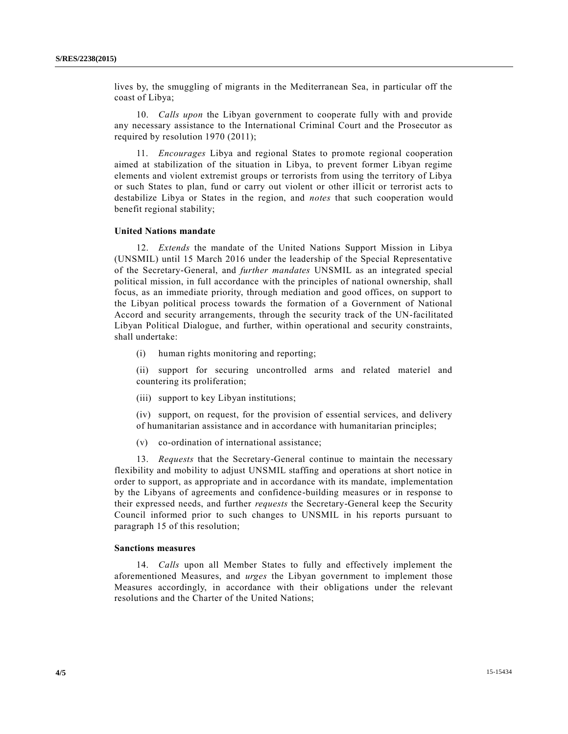lives by, the smuggling of migrants in the Mediterranean Sea, in particular off the coast of Libya;

10. *Calls upon* the Libyan government to cooperate fully with and provide any necessary assistance to the International Criminal Court and the Prosecutor as required by resolution 1970 (2011);

11. *Encourages* Libya and regional States to promote regional cooperation aimed at stabilization of the situation in Libya, to prevent former Libyan regime elements and violent extremist groups or terrorists from using the territory of Libya or such States to plan, fund or carry out violent or other illicit or terrorist acts to destabilize Libya or States in the region, and *notes* that such cooperation would benefit regional stability;

#### **United Nations mandate**

12. *Extends* the mandate of the United Nations Support Mission in Libya (UNSMIL) until 15 March 2016 under the leadership of the Special Representative of the Secretary-General, and *further mandates* UNSMIL as an integrated special political mission, in full accordance with the principles of national ownership, shall focus, as an immediate priority, through mediation and good offices, on support to the Libyan political process towards the formation of a Government of National Accord and security arrangements, through the security track of the UN-facilitated Libyan Political Dialogue, and further, within operational and security constraints, shall undertake:

(i) human rights monitoring and reporting;

(ii) support for securing uncontrolled arms and related materiel and countering its proliferation;

(iii) support to key Libyan institutions;

(iv) support, on request, for the provision of essential services, and delivery of humanitarian assistance and in accordance with humanitarian principles;

(v) co-ordination of international assistance;

13. *Requests* that the Secretary-General continue to maintain the necessary flexibility and mobility to adjust UNSMIL staffing and operations at short notice in order to support, as appropriate and in accordance with its mandate, implementation by the Libyans of agreements and confidence-building measures or in response to their expressed needs, and further *requests* the Secretary-General keep the Security Council informed prior to such changes to UNSMIL in his reports pursuant to paragraph 15 of this resolution;

### **Sanctions measures**

14. *Calls* upon all Member States to fully and effectively implement the aforementioned Measures, and *urges* the Libyan government to implement those Measures accordingly, in accordance with their obligations under the relevant resolutions and the Charter of the United Nations;